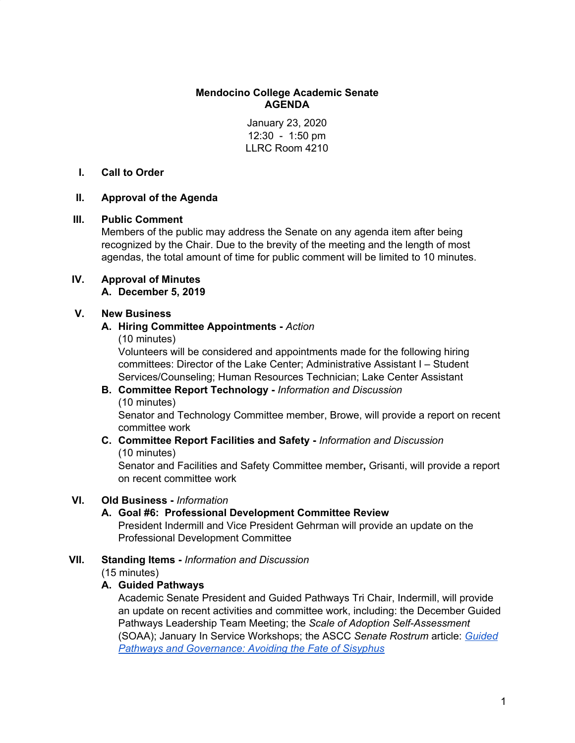#### **Mendocino College Academic Senate AGENDA**

January 23, 2020 12:30 - 1:50 pm LLRC Room 4210

## **I. Call to Order**

## **II. Approval of the Agenda**

#### **III. Public Comment**

Members of the public may address the Senate on any agenda item after being recognized by the Chair. Due to the brevity of the meeting and the length of most agendas, the total amount of time for public comment will be limited to 10 minutes.

## **IV. Approval of Minutes**

**A. December 5, 2019**

## **V. New Business**

## **A. Hiring Committee Appointments -** *Action*

(10 minutes)

Volunteers will be considered and appointments made for the following hiring committees: Director of the Lake Center; Administrative Assistant I – Student Services/Counseling; Human Resources Technician; Lake Center Assistant

# **B. Committee Report Technology -** *Information and Discussion* (10 minutes)

Senator and Technology Committee member, Browe, will provide a report on recent committee work

## **C. Committee Report Facilities and Safety -** *Information and Discussion* (10 minutes)

Senator and Facilities and Safety Committee member**,** Grisanti, will provide a report on recent committee work

## **VI. Old Business -** *Information*

## **A. Goal #6: Professional Development Committee Review**

President Indermill and Vice President Gehrman will provide an update on the Professional Development Committee

## **VII. Standing Items -** *Information and Discussion*

(15 minutes)

## **A. Guided Pathways**

Academic Senate President and Guided Pathways Tri Chair, Indermill, will provide an update on recent activities and committee work, including: the December Guided Pathways Leadership Team Meeting; the *Scale of Adoption Self-Assessment* (SOAA); January In Service Workshops; the ASCC *Senate Rostrum* article: *[Guided](https://asccc.org/content/guided-pathways-and-governance-avoiding-fate-sisyphus) Pathways and [Governance:](https://asccc.org/content/guided-pathways-and-governance-avoiding-fate-sisyphus) Avoiding the Fate of Sisyphus*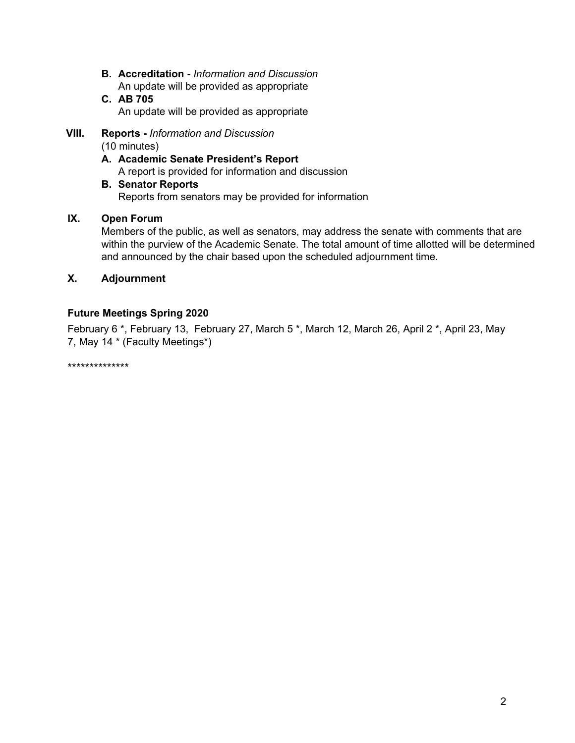- **B. Accreditation -** *Information and Discussion* An update will be provided as appropriate
- **C. AB 705** An update will be provided as appropriate
- **VIII. Reports -** *Information and Discussion* (10 minutes)
	- **A. Academic Senate President's Report** A report is provided for information and discussion
	- **B. Senator Reports** Reports from senators may be provided for information

# **IX. Open Forum**

Members of the public, as well as senators, may address the senate with comments that are within the purview of the Academic Senate. The total amount of time allotted will be determined and announced by the chair based upon the scheduled adjournment time.

## **X. Adjournment**

# **Future Meetings Spring 2020**

February 6 \*, February 13, February 27, March 5 \*, March 12, March 26, April 2 \*, April 23, May 7, May 14 \* (Faculty Meetings\*)

\*\*\*\*\*\*\*\*\*\*\*\*\*\*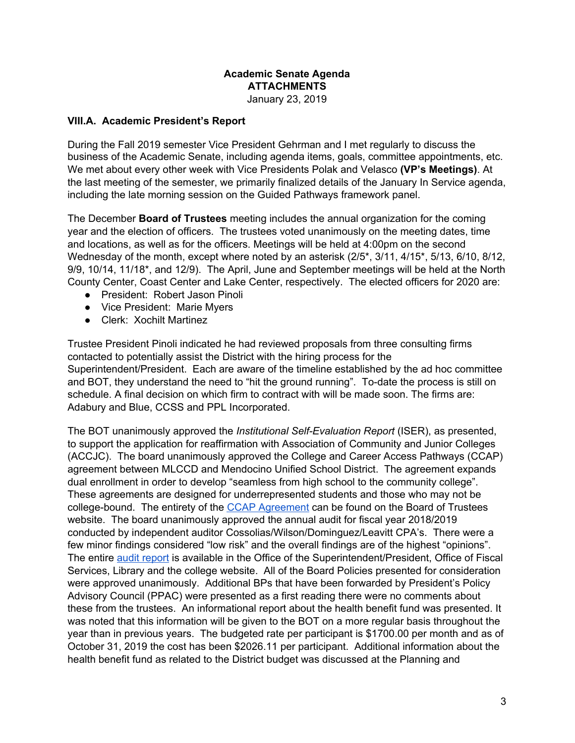#### **Academic Senate Agenda ATTACHMENTS** January 23, 2019

#### **VIII.A. Academic President's Report**

During the Fall 2019 semester Vice President Gehrman and I met regularly to discuss the business of the Academic Senate, including agenda items, goals, committee appointments, etc. We met about every other week with Vice Presidents Polak and Velasco **(VP's Meetings)**. At the last meeting of the semester, we primarily finalized details of the January In Service agenda, including the late morning session on the Guided Pathways framework panel.

The December **Board of Trustees** meeting includes the annual organization for the coming year and the election of officers. The trustees voted unanimously on the meeting dates, time and locations, as well as for the officers. Meetings will be held at 4:00pm on the second Wednesday of the month, except where noted by an asterisk (2/5<sup>\*</sup>, 3/11, 4/15<sup>\*</sup>, 5/13, 6/10, 8/12, 9/9, 10/14, 11/18\*, and 12/9). The April, June and September meetings will be held at the North County Center, Coast Center and Lake Center, respectively. The elected officers for 2020 are:

- President: Robert Jason Pinoli
- Vice President: Marie Myers
- Clerk: Xochilt Martinez

Trustee President Pinoli indicated he had reviewed proposals from three consulting firms contacted to potentially assist the District with the hiring process for the Superintendent/President. Each are aware of the timeline established by the ad hoc committee and BOT, they understand the need to "hit the ground running". To-date the process is still on schedule. A final decision on which firm to contract with will be made soon. The firms are: Adabury and Blue, CCSS and PPL Incorporated.

The BOT unanimously approved the *Institutional Self-Evaluation Report* (ISER), as presented, to support the application for reaffirmation with Association of Community and Junior Colleges (ACCJC). The board unanimously approved the College and Career Access Pathways (CCAP) agreement between MLCCD and Mendocino Unified School District. The agreement expands dual enrollment in order to develop "seamless from high school to the community college". These agreements are designed for underrepresented students and those who may not be college-bound. The entirety of the CCAP [Agreement](https://www.mendocino.edu/sites/default/files/docs/BOT/Packets/bd_packet_dec_11_2019.pdf) can be found on the Board of Trustees website. The board unanimously approved the annual audit for fiscal year 2018/2019 conducted by independent auditor Cossolias/Wilson/Dominguez/Leavitt CPA's. There were a few minor findings considered "low risk" and the overall findings are of the highest "opinions". The entire audit [report](https://www.mendocino.edu/sites/default/files/docs/BOT/misc/mendocino-lake_ccd_audit_report_june_30_2019_-_final.pdf) is available in the Office of the Superintendent/President, Office of Fiscal Services, Library and the college website. All of the Board Policies presented for consideration were approved unanimously. Additional BPs that have been forwarded by President's Policy Advisory Council (PPAC) were presented as a first reading there were no comments about these from the trustees. An informational report about the health benefit fund was presented. It was noted that this information will be given to the BOT on a more regular basis throughout the year than in previous years. The budgeted rate per participant is \$1700.00 per month and as of October 31, 2019 the cost has been \$2026.11 per participant. Additional information about the health benefit fund as related to the District budget was discussed at the Planning and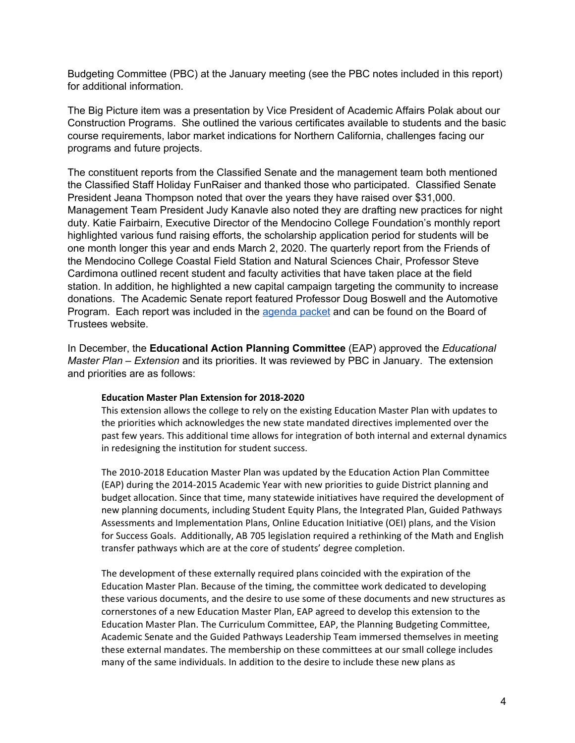Budgeting Committee (PBC) at the January meeting (see the PBC notes included in this report) for additional information.

The Big Picture item was a presentation by Vice President of Academic Affairs Polak about our Construction Programs. She outlined the various certificates available to students and the basic course requirements, labor market indications for Northern California, challenges facing our programs and future projects.

The constituent reports from the Classified Senate and the management team both mentioned the Classified Staff Holiday FunRaiser and thanked those who participated. Classified Senate President Jeana Thompson noted that over the years they have raised over \$31,000. Management Team President Judy Kanavle also noted they are drafting new practices for night duty. Katie Fairbairn, Executive Director of the Mendocino College Foundation's monthly report highlighted various fund raising efforts, the scholarship application period for students will be one month longer this year and ends March 2, 2020. The quarterly report from the Friends of the Mendocino College Coastal Field Station and Natural Sciences Chair, Professor Steve Cardimona outlined recent student and faculty activities that have taken place at the field station. In addition, he highlighted a new capital campaign targeting the community to increase donations. The Academic Senate report featured Professor Doug Boswell and the Automotive Program. Each report was included in the [agenda](https://www.mendocino.edu/sites/default/files/docs/BOT/Agendas/bd_agenda_dec_11_2019.pdf) packet and can be found on the Board of Trustees website.

In December, the **Educational Action Planning Committee** (EAP) approved the *Educational Master Plan – Extension* and its priorities. It was reviewed by PBC in January. The extension and priorities are as follows:

#### **Education Master Plan Extension for 2018-2020**

This extension allows the college to rely on the existing Education Master Plan with updates to the priorities which acknowledges the new state mandated directives implemented over the past few years. This additional time allows for integration of both internal and external dynamics in redesigning the institution for student success.

The 2010-2018 Education Master Plan was updated by the Education Action Plan Committee (EAP) during the 2014-2015 Academic Year with new priorities to guide District planning and budget allocation. Since that time, many statewide initiatives have required the development of new planning documents, including Student Equity Plans, the Integrated Plan, Guided Pathways Assessments and Implementation Plans, Online Education Initiative (OEI) plans, and the Vision for Success Goals. Additionally, AB 705 legislation required a rethinking of the Math and English transfer pathways which are at the core of students' degree completion.

The development of these externally required plans coincided with the expiration of the Education Master Plan. Because of the timing, the committee work dedicated to developing these various documents, and the desire to use some of these documents and new structures as cornerstones of a new Education Master Plan, EAP agreed to develop this extension to the Education Master Plan. The Curriculum Committee, EAP, the Planning Budgeting Committee, Academic Senate and the Guided Pathways Leadership Team immersed themselves in meeting these external mandates. The membership on these committees at our small college includes many of the same individuals. In addition to the desire to include these new plans as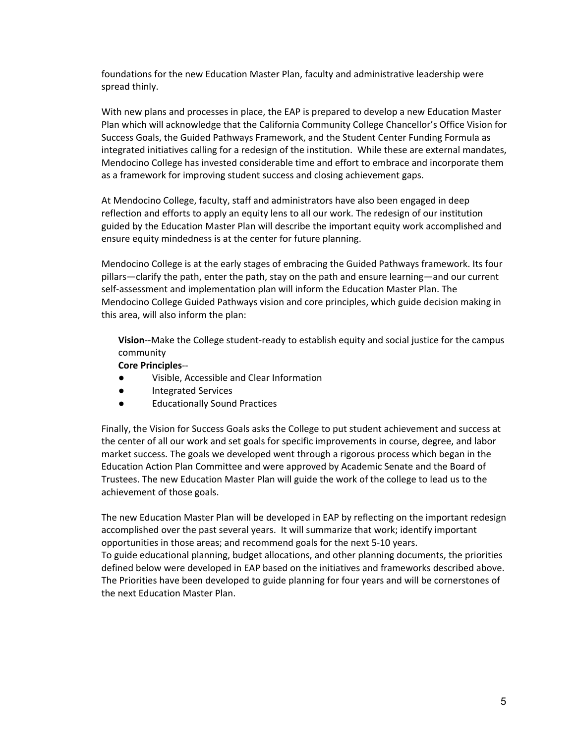foundations for the new Education Master Plan, faculty and administrative leadership were spread thinly.

With new plans and processes in place, the EAP is prepared to develop a new Education Master Plan which will acknowledge that the California Community College Chancellor's Office Vision for Success Goals, the Guided Pathways Framework, and the Student Center Funding Formula as integrated initiatives calling for a redesign of the institution. While these are external mandates, Mendocino College has invested considerable time and effort to embrace and incorporate them as a framework for improving student success and closing achievement gaps.

At Mendocino College, faculty, staff and administrators have also been engaged in deep reflection and efforts to apply an equity lens to all our work. The redesign of our institution guided by the Education Master Plan will describe the important equity work accomplished and ensure equity mindedness is at the center for future planning.

Mendocino College is at the early stages of embracing the Guided Pathways framework. Its four pillars—clarify the path, enter the path, stay on the path and ensure learning—and our current self-assessment and implementation plan will inform the Education Master Plan. The Mendocino College Guided Pathways vision and core principles, which guide decision making in this area, will also inform the plan:

**Vision**--Make the College student-ready to establish equity and social justice for the campus community

#### **Core Principles**--

- Visible, Accessible and Clear Information
- Integrated Services
- Educationally Sound Practices

Finally, the Vision for Success Goals asks the College to put student achievement and success at the center of all our work and set goals for specific improvements in course, degree, and labor market success. The goals we developed went through a rigorous process which began in the Education Action Plan Committee and were approved by Academic Senate and the Board of Trustees. The new Education Master Plan will guide the work of the college to lead us to the achievement of those goals.

The new Education Master Plan will be developed in EAP by reflecting on the important redesign accomplished over the past several years. It will summarize that work; identify important opportunities in those areas; and recommend goals for the next 5-10 years. To guide educational planning, budget allocations, and other planning documents, the priorities defined below were developed in EAP based on the initiatives and frameworks described above. The Priorities have been developed to guide planning for four years and will be cornerstones of the next Education Master Plan.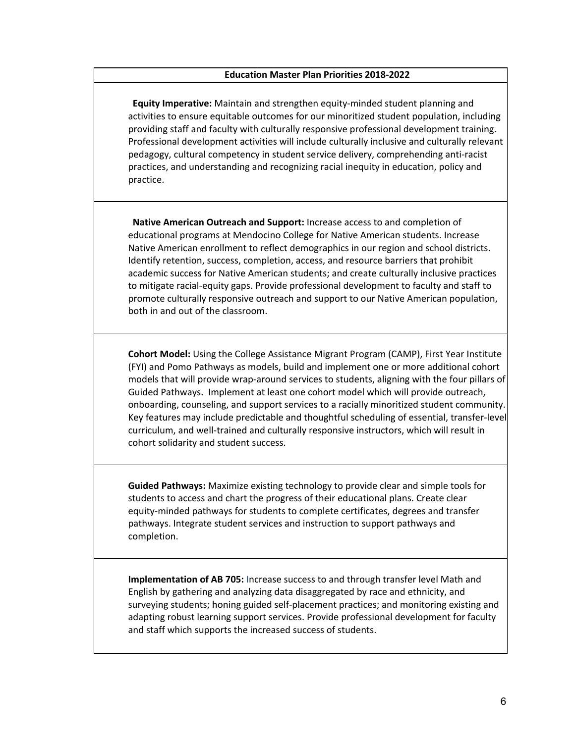#### **Education Master Plan Priorities 2018-2022**

**Equity Imperative:** Maintain and strengthen equity-minded student planning and activities to ensure equitable outcomes for our minoritized student population, including providing staff and faculty with culturally responsive professional development training. Professional development activities will include culturally inclusive and culturally relevant pedagogy, cultural competency in student service delivery, comprehending anti-racist practices, and understanding and recognizing racial inequity in education, policy and practice.

**Native American Outreach and Support:** Increase access to and completion of educational programs at Mendocino College for Native American students. Increase Native American enrollment to reflect demographics in our region and school districts. Identify retention, success, completion, access, and resource barriers that prohibit academic success for Native American students; and create culturally inclusive practices to mitigate racial-equity gaps. Provide professional development to faculty and staff to promote culturally responsive outreach and support to our Native American population, both in and out of the classroom.

**Cohort Model:** Using the College Assistance Migrant Program (CAMP), First Year Institute (FYI) and Pomo Pathways as models, build and implement one or more additional cohort models that will provide wrap-around services to students, aligning with the four pillars of Guided Pathways. Implement at least one cohort model which will provide outreach, onboarding, counseling, and support services to a racially minoritized student community. Key features may include predictable and thoughtful scheduling of essential, transfer-level curriculum, and well-trained and culturally responsive instructors, which will result in cohort solidarity and student success.

**Guided Pathways:** Maximize existing technology to provide clear and simple tools for students to access and chart the progress of their educational plans. Create clear equity-minded pathways for students to complete certificates, degrees and transfer pathways. Integrate student services and instruction to support pathways and completion.

**Implementation of AB 705:** Increase success to and through transfer level Math and English by gathering and analyzing data disaggregated by race and ethnicity, and surveying students; honing guided self-placement practices; and monitoring existing and adapting robust learning support services. Provide professional development for faculty and staff which supports the increased success of students.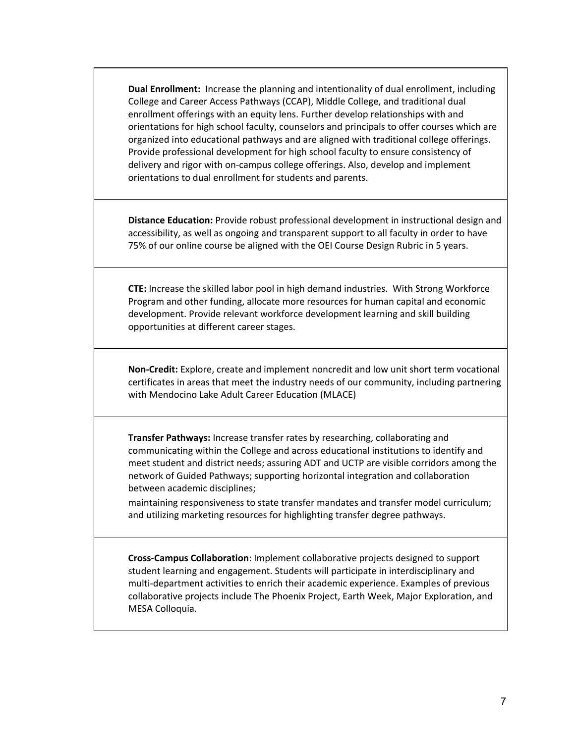**Dual Enrollment:** Increase the planning and intentionality of dual enrollment, including College and Career Access Pathways (CCAP), Middle College, and traditional dual enrollment offerings with an equity lens. Further develop relationships with and orientations for high school faculty, counselors and principals to offer courses which are organized into educational pathways and are aligned with traditional college offerings. Provide professional development for high school faculty to ensure consistency of delivery and rigor with on-campus college offerings. Also, develop and implement orientations to dual enrollment for students and parents.

**Distance Education:** Provide robust professional development in instructional design and accessibility, as well as ongoing and transparent support to all faculty in order to have 75% of our online course be aligned with the OEI Course Design Rubric in 5 years.

**CTE:** Increase the skilled labor pool in high demand industries. With Strong Workforce Program and other funding, allocate more resources for human capital and economic development. Provide relevant workforce development learning and skill building opportunities at different career stages.

**Non-Credit:** Explore, create and implement noncredit and low unit short term vocational certificates in areas that meet the industry needs of our community, including partnering with Mendocino Lake Adult Career Education (MLACE)

**Transfer Pathways:** Increase transfer rates by researching, collaborating and communicating within the College and across educational institutions to identify and meet student and district needs; assuring ADT and UCTP are visible corridors among the network of Guided Pathways; supporting horizontal integration and collaboration between academic disciplines;

maintaining responsiveness to state transfer mandates and transfer model curriculum; and utilizing marketing resources for highlighting transfer degree pathways.

**Cross-Campus Collaboration**: Implement collaborative projects designed to support student learning and engagement. Students will participate in interdisciplinary and multi-department activities to enrich their academic experience. Examples of previous collaborative projects include The Phoenix Project, Earth Week, Major Exploration, and MESA Colloquia.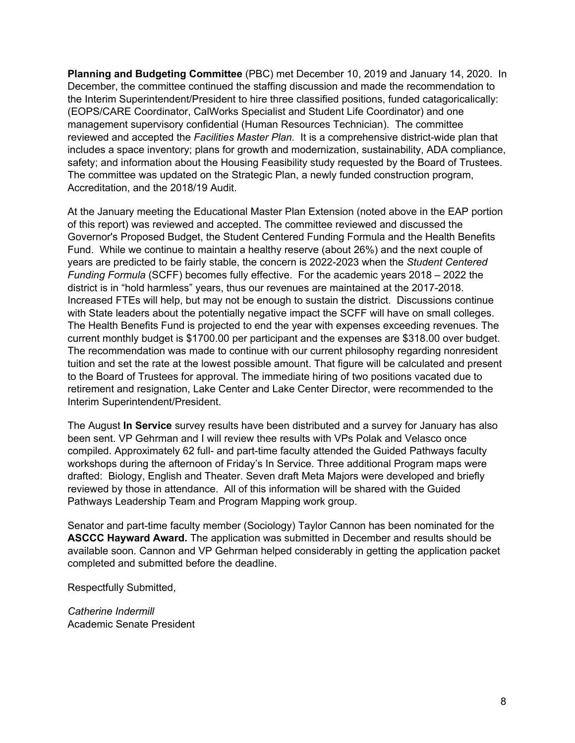**Planning and Budgeting Committee** (PBC) met December 10, 2019 and January 14, 2020. In December, the committee continued the staffing discussion and made the recommendation to the Interim Superintendent/President to hire three classified positions, funded catagoricalically: (EOPS/CARE Coordinator, CalWorks Specialist and Student Life Coordinator) and one management supervisory confidential (Human Resources Technician). The committee reviewed and accepted the *Facilities Master Plan.* It is a comprehensive district-wide plan that includes a space inventory; plans for growth and modernization, sustainability, ADA compliance, safety; and information about the Housing Feasibility study requested by the Board of Trustees. The committee was updated on the Strategic Plan, a newly funded construction program, Accreditation, and the 2018/19 Audit.

At the January meeting the Educational Master Plan Extension (noted above in the EAP portion of this report) was reviewed and accepted. The committee reviewed and discussed the Governor's Proposed Budget, the Student Centered Funding Formula and the Health Benefits Fund. While we continue to maintain a healthy reserve (about 26%) and the next couple of years are predicted to be fairly stable, the concern is 2022-2023 when the *Student Centered Funding Formula* (SCFF) becomes fully effective. For the academic years 2018 – 2022 the district is in "hold harmless" years, thus our revenues are maintained at the 2017-2018. Increased FTEs will help, but may not be enough to sustain the district. Discussions continue with State leaders about the potentially negative impact the SCFF will have on small colleges. The Health Benefits Fund is projected to end the year with expenses exceeding revenues. The current monthly budget is \$1700.00 per participant and the expenses are \$318.00 over budget. The recommendation was made to continue with our current philosophy regarding nonresident tuition and set the rate at the lowest possible amount. That figure will be calculated and present to the Board of Trustees for approval. The immediate hiring of two positions vacated due to retirement and resignation, Lake Center and Lake Center Director, were recommended to the Interim Superintendent/President.

The August **In Service** survey results have been distributed and a survey for January has also been sent. VP Gehrman and I will review thee results with VPs Polak and Velasco once compiled. Approximately 62 full- and part-time faculty attended the Guided Pathways faculty workshops during the afternoon of Friday's In Service. Three additional Program maps were drafted: Biology, English and Theater. Seven draft Meta Majors were developed and briefly reviewed by those in attendance. All of this information will be shared with the Guided Pathways Leadership Team and Program Mapping work group.

Senator and part-time faculty member (Sociology) Taylor Cannon has been nominated for the **ASCCC Hayward Award.** The application was submitted in December and results should be available soon. Cannon and VP Gehrman helped considerably in getting the application packet completed and submitted before the deadline.

Respectfully Submitted,

*Catherine Indermill* Academic Senate President